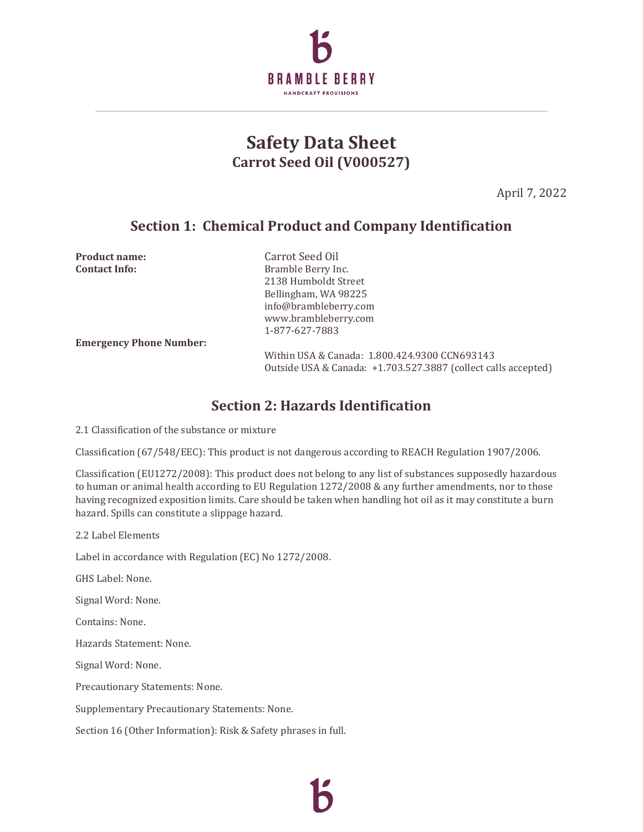

# **Safety Data Sheet Carrot Seed Oil (V000527)**

April 7, 2022

### **Section 1: Chemical Product and Company Identification**

**Product name:** Carrot Seed Oil **Contact Info:** Bramble Berry Inc. 2138 Humboldt Street Bellingham, WA 98225 info@brambleberry.com www.brambleberry.com 1-877-627-7883

**Emergency Phone Number:**

Within USA & Canada: 1.800.424.9300 CCN693143 Outside USA & Canada: +1.703.527.3887 (collect calls accepted)

#### **Section 2: Hazards Identification**

2.1 Classification of the substance or mixture

Classification (67/548/EEC): This product is not dangerous according to REACH Regulation 1907/2006.

Classification (EU1272/2008): This product does not belong to any list of substances supposedly hazardous to human or animal health according to EU Regulation 1272/2008 & any further amendments, nor to those having recognized exposition limits. Care should be taken when handling hot oil as it may constitute a burn hazard. Spills can constitute a slippage hazard.

2.2 Label Elements

Label in accordance with Regulation (EC) No 1272/2008.

GHS Label: None.

Signal Word: None.

Contains: None.

Hazards Statement: None.

Signal Word: None.

Precautionary Statements: None.

Supplementary Precautionary Statements: None.

Section 16 (Other Information): Risk & Safety phrases in full.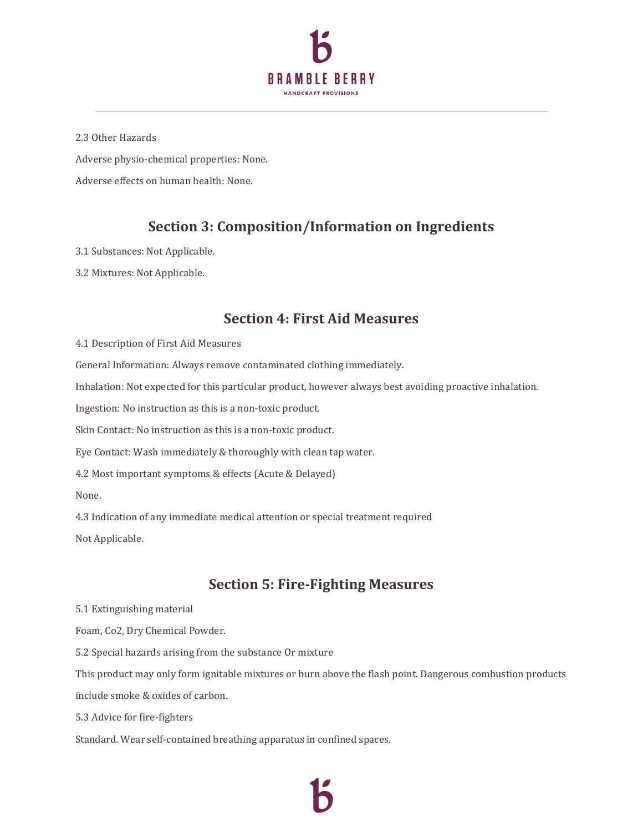

2.3 Other Hazards Adverse physio-chemical properties: None. Adverse effects on human health: None.

# **Section 3: Composition/Information on Ingredients**

3.1 Substances: Not Applicable.

3.2 Mixtures: Not Applicable.

#### **Section 4: First Aid Measures**

4.1 Description of First Aid Measures

General Information: Always remove contaminated clothing immediately.

Inhalation: Not expected for this particular product, however always best avoiding proactive inhalation.

Ingestion: No instruction as this is a non-toxic product.

Skin Contact: No instruction as this is a non-toxic product.

Eye Contact: Wash immediately & thoroughly with clean tap water.

4.2 Most important symptoms & effects (Acute & Delayed)

None.

4.3 Indication of any immediate medical attention or special treatment required Not Applicable.

## **Section 5: Fire-Fighting Measures**

5.1 Extinguishing material

Foam, Co2, Dry Chemical Powder.

5.2 Special hazards arising from the substance Or mixture

This product may only form ignitable mixtures or burn above the flash point. Dangerous combustion products

include smoke & oxides of carbon.

5.3 Advice for fire-fighters

Standard. Wear self-contained breathing apparatus in confined spaces.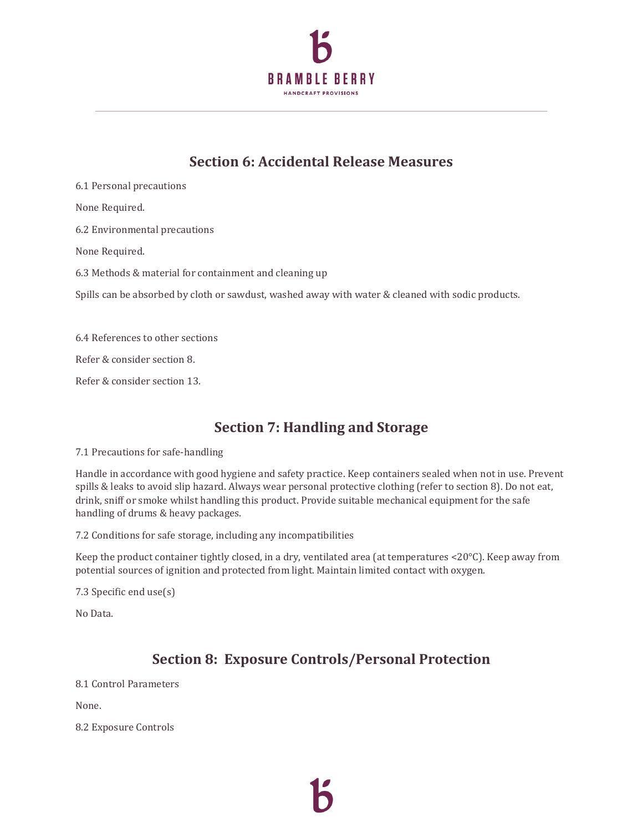

# **Section 6: Accidental Release Measures**

6.1 Personal precautions None Required. 6.2 Environmental precautions None Required. 6.3 Methods & material for containment and cleaning up Spills can be absorbed by cloth or sawdust, washed away with water & cleaned with sodic products. 6.4 References to other sections Refer & consider section 8.

Refer & consider section 13.

# **Section 7: Handling and Storage**

7.1 Precautions for safe-handling

Handle in accordance with good hygiene and safety practice. Keep containers sealed when not in use. Prevent spills & leaks to avoid slip hazard. Always wear personal protective clothing (refer to section 8). Do not eat, drink, sniff or smoke whilst handling this product. Provide suitable mechanical equipment for the safe handling of drums & heavy packages.

7.2 Conditions for safe storage, including any incompatibilities

Keep the product container tightly closed, in a dry, ventilated area (at temperatures <20°C). Keep away from potential sources of ignition and protected from light. Maintain limited contact with oxygen.

7.3 Specific end use(s)

No Data.

# **Section 8: Exposure Controls/Personal Protection**

8.1 Control Parameters

None.

8.2 Exposure Controls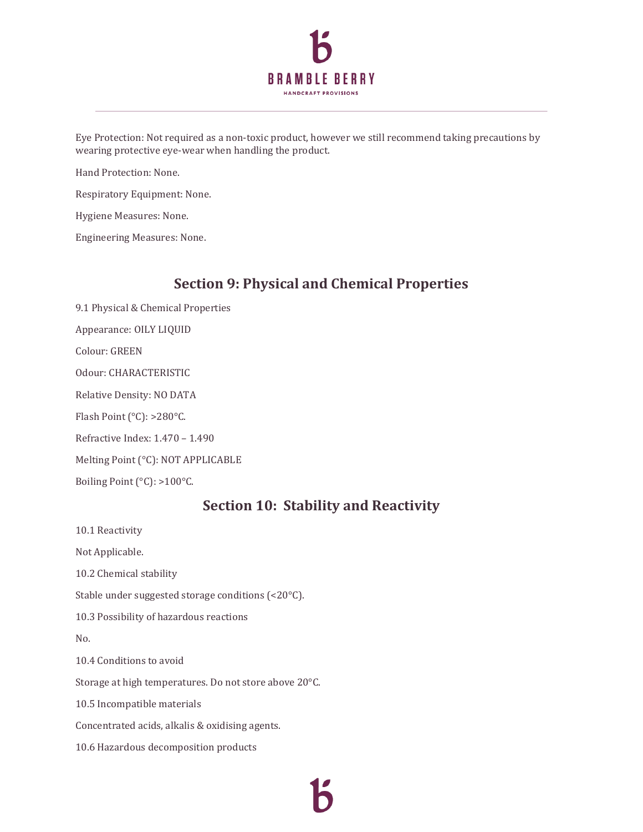

Eye Protection: Not required as a non-toxic product, however we still recommend taking precautions by wearing protective eye-wear when handling the product.

Hand Protection: None.

Respiratory Equipment: None.

Hygiene Measures: None.

Engineering Measures: None.

#### **Section 9: Physical and Chemical Properties**

9.1 Physical & Chemical Properties Appearance: OILY LIQUID

Colour: GREEN

Odour: CHARACTERISTIC

Relative Density: NO DATA

Flash Point (°C): >280°C.

Refractive Index: 1.470 – 1.490

Melting Point (°C): NOT APPLICABLE

Boiling Point (°C): >100°C.

#### **Section 10: Stability and Reactivity**

10.1 Reactivity

Not Applicable. 10.2 Chemical stability Stable under suggested storage conditions (<20°C).

10.3 Possibility of hazardous reactions

No.

10.4 Conditions to avoid

Storage at high temperatures. Do not store above 20°C.

10.5 Incompatible materials

Concentrated acids, alkalis & oxidising agents.

10.6 Hazardous decomposition products

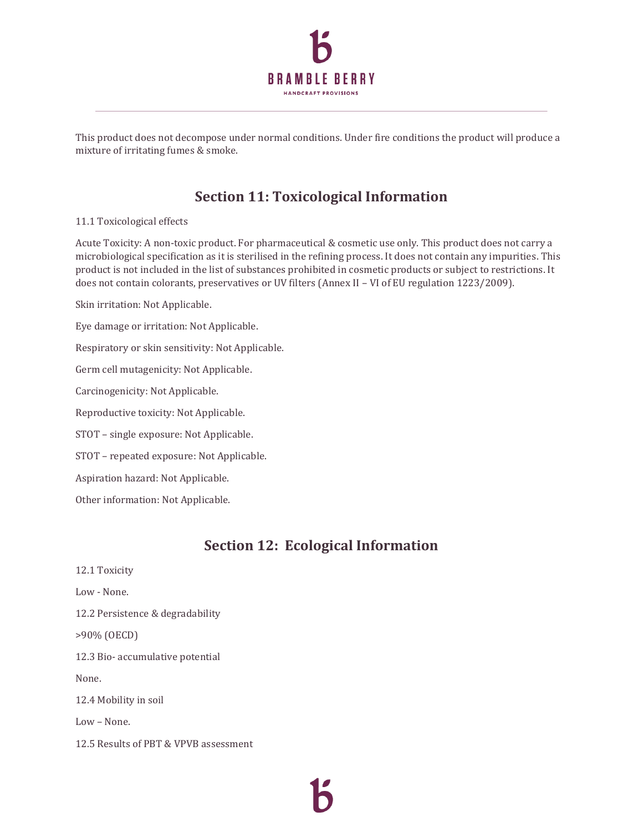

This product does not decompose under normal conditions. Under fire conditions the product will produce a mixture of irritating fumes & smoke.

## **Section 11: Toxicological Information**

#### 11.1 Toxicological effects

Acute Toxicity: A non-toxic product. For pharmaceutical & cosmetic use only. This product does not carry a microbiological specification as it is sterilised in the refining process. It does not contain any impurities. This product is not included in the list of substances prohibited in cosmetic products or subject to restrictions. It does not contain colorants, preservatives or UV filters (Annex II – VI of EU regulation 1223/2009).

Skin irritation: Not Applicable.

Eye damage or irritation: Not Applicable.

Respiratory or skin sensitivity: Not Applicable.

Germ cell mutagenicity: Not Applicable.

Carcinogenicity: Not Applicable.

Reproductive toxicity: Not Applicable.

STOT – single exposure: Not Applicable.

STOT – repeated exposure: Not Applicable.

Aspiration hazard: Not Applicable.

Other information: Not Applicable.

#### **Section 12: Ecological Information**

12.1 Toxicity Low - None. 12.2 Persistence & degradability >90% (OECD) 12.3 Bio- accumulative potential None. 12.4 Mobility in soil Low – None. 12.5 Results of PBT & VPVB assessment

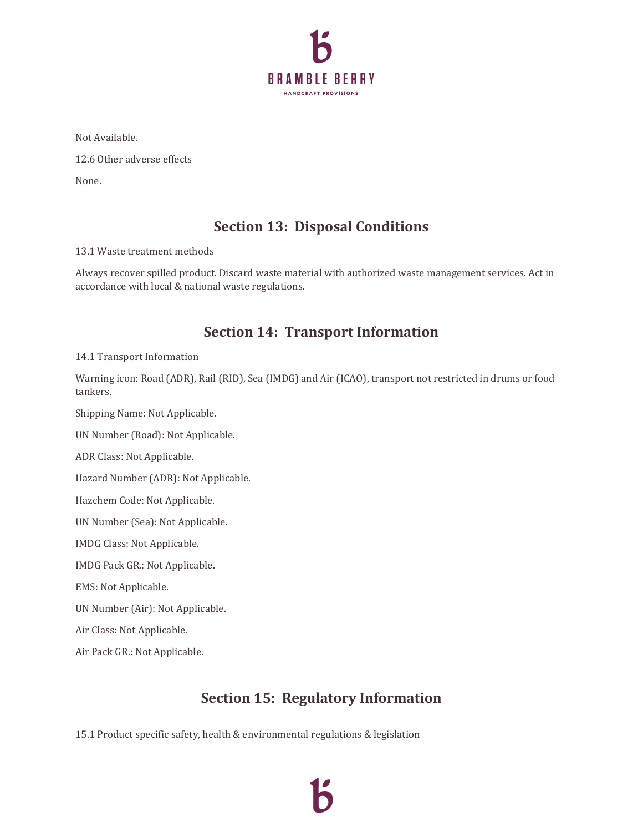

Not Available.

12.6 Other adverse effects

None.

## **Section 13: Disposal Conditions**

13.1 Waste treatment methods

Always recover spilled product. Discard waste material with authorized waste management services. Act in accordance with local & national waste regulations.

### **Section 14: Transport Information**

14.1 Transport Information

Warning icon: Road (ADR), Rail (RID), Sea (IMDG) and Air (ICAO), transport not restricted in drums or food tankers.

Shipping Name: Not Applicable.

UN Number (Road): Not Applicable.

ADR Class: Not Applicable.

Hazard Number (ADR): Not Applicable.

Hazchem Code: Not Applicable.

UN Number (Sea): Not Applicable.

IMDG Class: Not Applicable.

IMDG Pack GR.: Not Applicable.

EMS: Not Applicable.

UN Number (Air): Not Applicable.

Air Class: Not Applicable.

Air Pack GR.: Not Applicable.

## **Section 15: Regulatory Information**

15.1 Product specific safety, health & environmental regulations & legislation